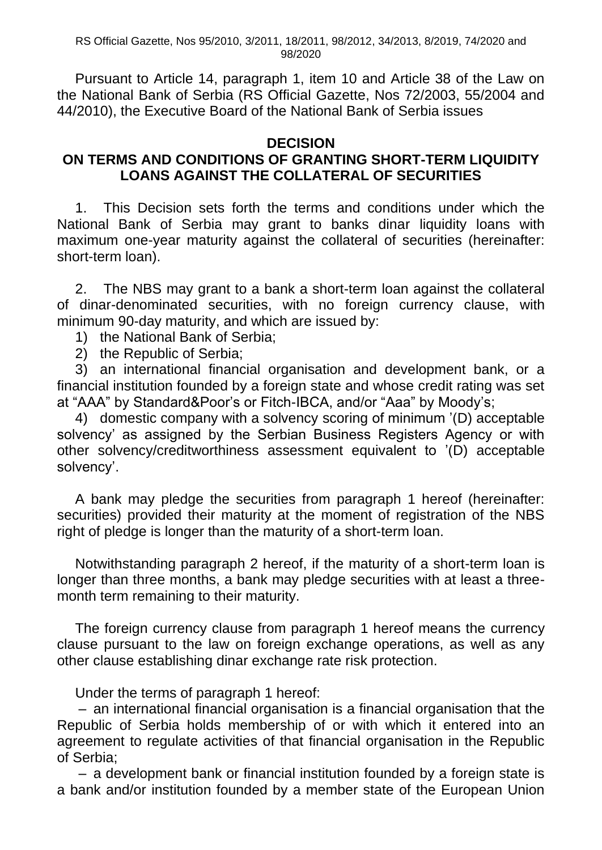RS Official Gazette, Nos 95/2010, 3/2011, 18/2011, 98/2012, 34/2013, 8/2019, 74/2020 and 98/2020

Pursuant to Article 14, paragraph 1, item 10 and Article 38 of the Law on the National Bank of Serbia (RS Official Gazette, Nos 72/2003, 55/2004 and 44/2010), the Executive Board of the National Bank of Serbia issues

## **DECISION**

## **ON TERMS AND CONDITIONS OF GRANTING SHORT-TERM LIQUIDITY LOANS AGAINST THE COLLATERAL OF SECURITIES**

1. This Decision sets forth the terms and conditions under which the National Bank of Serbia may grant to banks dinar liquidity loans with maximum one-year maturity against the collateral of securities (hereinafter: short-term loan).

2. The NBS may grant to a bank a short-term loan against the collateral of dinar-denominated securities, with no foreign currency clause, with minimum 90-day maturity, and which are issued by:

- 1) the National Bank of Serbia;
- 2) the Republic of Serbia;

3) an international financial organisation and development bank, or a financial institution founded by a foreign state and whose credit rating was set at "AAA" by Standard&Poor's or Fitch-IBCA, and/or "Aaa" by Moody's;

4) domestic company with a solvency scoring of minimum '(D) acceptable solvency' as assigned by the Serbian Business Registers Agency or with other solvency/creditworthiness assessment equivalent to '(D) acceptable solvency'.

A bank may pledge the securities from paragraph 1 hereof (hereinafter: securities) provided their maturity at the moment of registration of the NBS right of pledge is longer than the maturity of a short-term loan.

Notwithstanding paragraph 2 hereof, if the maturity of a short-term loan is longer than three months, a bank may pledge securities with at least a threemonth term remaining to their maturity.

The foreign currency clause from paragraph 1 hereof means the currency clause pursuant to the law on foreign exchange operations, as well as any other clause establishing dinar exchange rate risk protection.

Under the terms of paragraph 1 hereof:

– an international financial organisation is a financial organisation that the Republic of Serbia holds membership of or with which it entered into an agreement to regulate activities of that financial organisation in the Republic of Serbia;

– a development bank or financial institution founded by a foreign state is a bank and/or institution founded by a member state of the European Union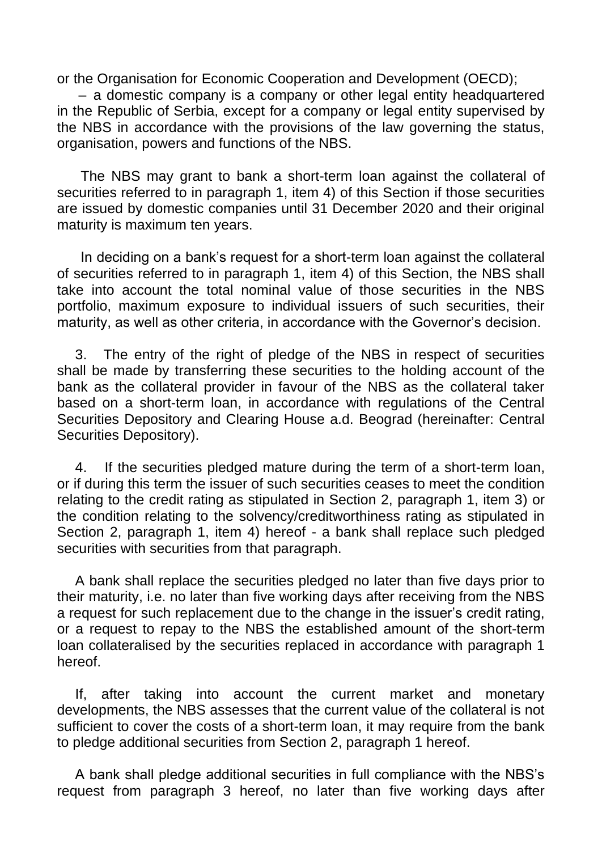or the Organisation for Economic Cooperation and Development (OECD);

– a domestic company is a company or other legal entity headquartered in the Republic of Serbia, except for a company or legal entity supervised by the NBS in accordance with the provisions of the law governing the status, organisation, powers and functions of the NBS.

 The NBS may grant to bank a short-term loan against the collateral of securities referred to in paragraph 1, item 4) of this Section if those securities are issued by domestic companies until 31 December 2020 and their original maturity is maximum ten years.

 In deciding on a bank's request for a short-term loan against the collateral of securities referred to in paragraph 1, item 4) of this Section, the NBS shall take into account the total nominal value of those securities in the NBS portfolio, maximum exposure to individual issuers of such securities, their maturity, as well as other criteria, in accordance with the Governor's decision.

3. The entry of the right of pledge of the NBS in respect of securities shall be made by transferring these securities to the holding account of the bank as the collateral provider in favour of the NBS as the collateral taker based on a short-term loan, in accordance with regulations of the Central Securities Depository and Clearing House a.d. Beograd (hereinafter: Central Securities Depository).

4. If the securities pledged mature during the term of a short-term loan, or if during this term the issuer of such securities ceases to meet the condition relating to the credit rating as stipulated in Section 2, paragraph 1, item 3) or the condition relating to the solvency/creditworthiness rating as stipulated in Section 2, paragraph 1, item 4) hereof - a bank shall replace such pledged securities with securities from that paragraph.

A bank shall replace the securities pledged no later than five days prior to their maturity, i.e. no later than five working days after receiving from the NBS a request for such replacement due to the change in the issuer's credit rating, or a request to repay to the NBS the established amount of the short-term loan collateralised by the securities replaced in accordance with paragraph 1 hereof.

If, after taking into account the current market and monetary developments, the NBS assesses that the current value of the collateral is not sufficient to cover the costs of a short-term loan, it may require from the bank to pledge additional securities from Section 2, paragraph 1 hereof.

A bank shall pledge additional securities in full compliance with the NBS's request from paragraph 3 hereof, no later than five working days after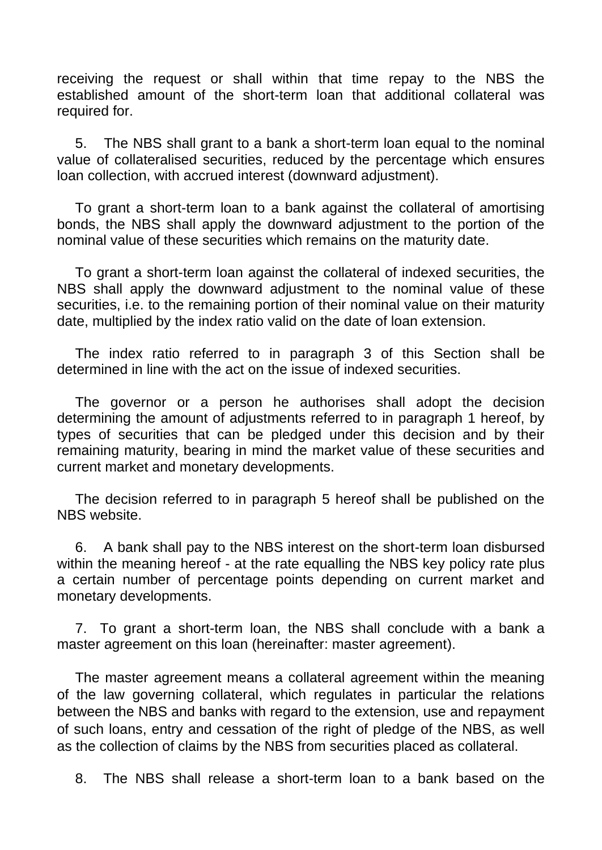receiving the request or shall within that time repay to the NBS the established amount of the short-term loan that additional collateral was required for.

5. The NBS shall grant to a bank a short-term loan equal to the nominal value of collateralised securities, reduced by the percentage which ensures loan collection, with accrued interest (downward adjustment).

To grant a short-term loan to a bank against the collateral of amortising bonds, the NBS shall apply the downward adjustment to the portion of the nominal value of these securities which remains on the maturity date.

To grant a short-term loan against the collateral of indexed securities, the NBS shall apply the downward adjustment to the nominal value of these securities, i.e. to the remaining portion of their nominal value on their maturity date, multiplied by the index ratio valid on the date of loan extension.

The index ratio referred to in paragraph 3 of this Section shall be determined in line with the act on the issue of indexed securities.

The governor or a person he authorises shall adopt the decision determining the amount of adjustments referred to in paragraph 1 hereof, by types of securities that can be pledged under this decision and by their remaining maturity, bearing in mind the market value of these securities and current market and monetary developments.

The decision referred to in paragraph 5 hereof shall be published on the NBS website.

6. A bank shall pay to the NBS interest on the short-term loan disbursed within the meaning hereof - at the rate equalling the NBS key policy rate plus a certain number of percentage points depending on current market and monetary developments.

7. To grant a short-term loan, the NBS shall conclude with a bank a master agreement on this loan (hereinafter: master agreement).

The master agreement means a collateral agreement within the meaning of the law governing collateral, which regulates in particular the relations between the NBS and banks with regard to the extension, use and repayment of such loans, entry and cessation of the right of pledge of the NBS, as well as the collection of claims by the NBS from securities placed as collateral.

8. The NBS shall release a short-term loan to a bank based on the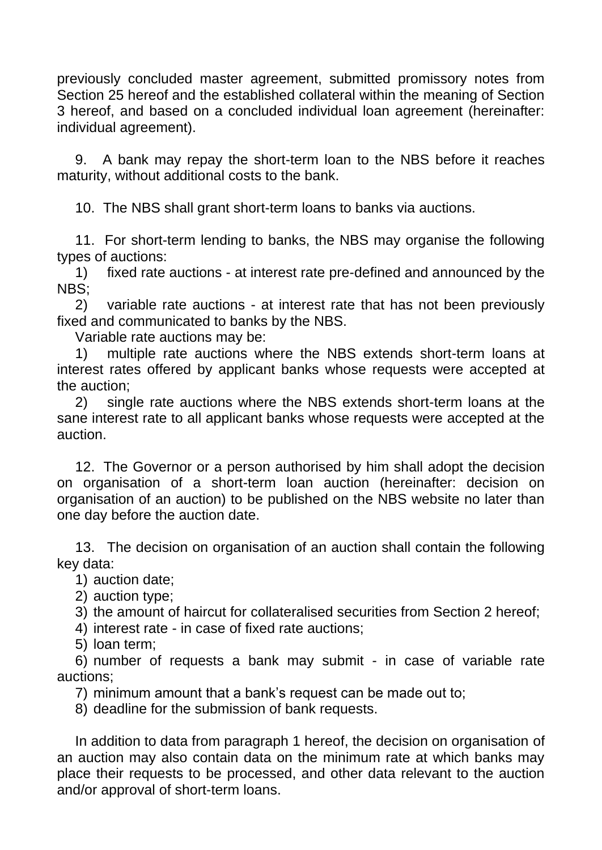previously concluded master agreement, submitted promissory notes from Section 25 hereof and the established collateral within the meaning of Section 3 hereof, and based on a concluded individual loan agreement (hereinafter: individual agreement).

9. A bank may repay the short-term loan to the NBS before it reaches maturity, without additional costs to the bank.

10. The NBS shall grant short-term loans to banks via auctions.

11. For short-term lending to banks, the NBS may organise the following types of auctions:

1) fixed rate auctions - at interest rate pre-defined and announced by the NBS;

2) variable rate auctions - at interest rate that has not been previously fixed and communicated to banks by the NBS.

Variable rate auctions may be:

1) multiple rate auctions where the NBS extends short-term loans at interest rates offered by applicant banks whose requests were accepted at the auction;

2) single rate auctions where the NBS extends short-term loans at the sane interest rate to all applicant banks whose requests were accepted at the auction.

12. The Governor or a person authorised by him shall adopt the decision on organisation of a short-term loan auction (hereinafter: decision on organisation of an auction) to be published on the NBS website no later than one day before the auction date.

13. The decision on organisation of an auction shall contain the following key data:

1) auction date;

2) auction type;

3) the amount of haircut for collateralised securities from Section 2 hereof;

4) interest rate - in case of fixed rate auctions;

5) loan term;

6) number of requests a bank may submit - in case of variable rate auctions;

7) minimum amount that a bank's request can be made out to;

8) deadline for the submission of bank requests.

In addition to data from paragraph 1 hereof, the decision on organisation of an auction may also contain data on the minimum rate at which banks may place their requests to be processed, and other data relevant to the auction and/or approval of short-term loans.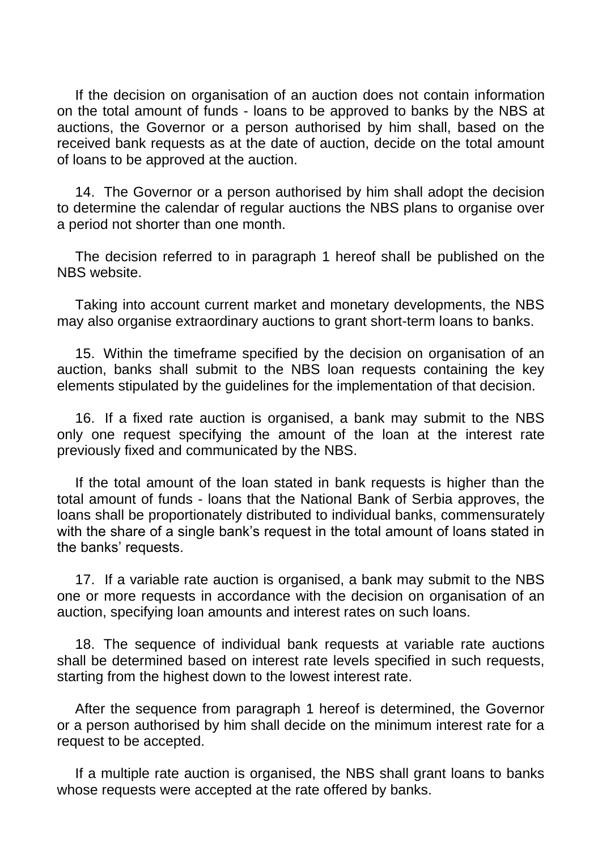If the decision on organisation of an auction does not contain information on the total amount of funds - loans to be approved to banks by the NBS at auctions, the Governor or a person authorised by him shall, based on the received bank requests as at the date of auction, decide on the total amount of loans to be approved at the auction.

14. The Governor or a person authorised by him shall adopt the decision to determine the calendar of regular auctions the NBS plans to organise over a period not shorter than one month.

The decision referred to in paragraph 1 hereof shall be published on the NBS website.

Taking into account current market and monetary developments, the NBS may also organise extraordinary auctions to grant short-term loans to banks.

15. Within the timeframe specified by the decision on organisation of an auction, banks shall submit to the NBS loan requests containing the key elements stipulated by the guidelines for the implementation of that decision.

16. If a fixed rate auction is organised, a bank may submit to the NBS only one request specifying the amount of the loan at the interest rate previously fixed and communicated by the NBS.

If the total amount of the loan stated in bank requests is higher than the total amount of funds - loans that the National Bank of Serbia approves, the loans shall be proportionately distributed to individual banks, commensurately with the share of a single bank's request in the total amount of loans stated in the banks' requests.

17. If a variable rate auction is organised, a bank may submit to the NBS one or more requests in accordance with the decision on organisation of an auction, specifying loan amounts and interest rates on such loans.

18. The sequence of individual bank requests at variable rate auctions shall be determined based on interest rate levels specified in such requests, starting from the highest down to the lowest interest rate.

After the sequence from paragraph 1 hereof is determined, the Governor or a person authorised by him shall decide on the minimum interest rate for a request to be accepted.

If a multiple rate auction is organised, the NBS shall grant loans to banks whose requests were accepted at the rate offered by banks.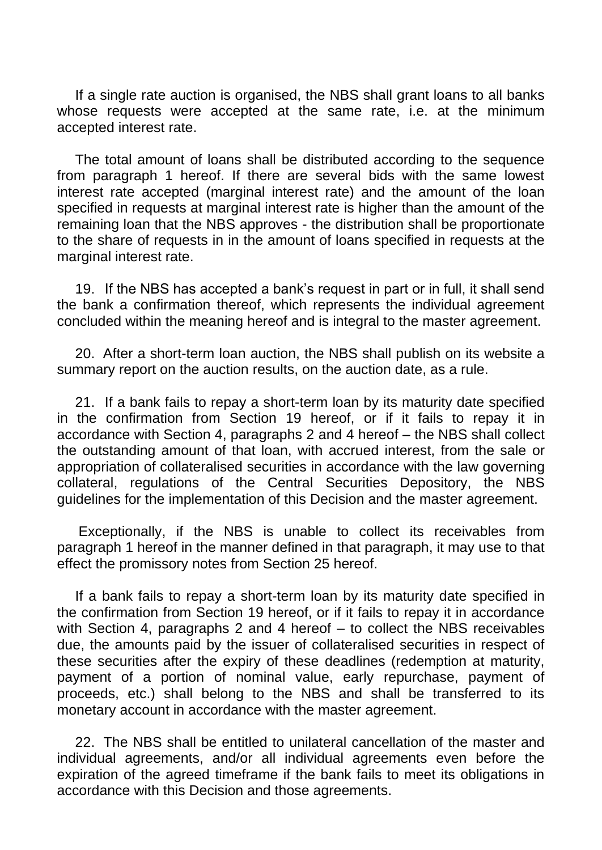If a single rate auction is organised, the NBS shall grant loans to all banks whose requests were accepted at the same rate, i.e. at the minimum accepted interest rate.

The total amount of loans shall be distributed according to the sequence from paragraph 1 hereof. If there are several bids with the same lowest interest rate accepted (marginal interest rate) and the amount of the loan specified in requests at marginal interest rate is higher than the amount of the remaining loan that the NBS approves - the distribution shall be proportionate to the share of requests in in the amount of loans specified in requests at the marginal interest rate.

19. If the NBS has accepted a bank's request in part or in full, it shall send the bank a confirmation thereof, which represents the individual agreement concluded within the meaning hereof and is integral to the master agreement.

20. After a short-term loan auction, the NBS shall publish on its website a summary report on the auction results, on the auction date, as a rule.

21. If a bank fails to repay a short-term loan by its maturity date specified in the confirmation from Section 19 hereof, or if it fails to repay it in accordance with Section 4, paragraphs 2 and 4 hereof – the NBS shall collect the outstanding amount of that loan, with accrued interest, from the sale or appropriation of collateralised securities in accordance with the law governing collateral, regulations of the Central Securities Depository, the NBS guidelines for the implementation of this Decision and the master agreement.

Exceptionally, if the NBS is unable to collect its receivables from paragraph 1 hereof in the manner defined in that paragraph, it may use to that effect the promissory notes from Section 25 hereof.

If a bank fails to repay a short-term loan by its maturity date specified in the confirmation from Section 19 hereof, or if it fails to repay it in accordance with Section 4, paragraphs 2 and 4 hereof – to collect the NBS receivables due, the amounts paid by the issuer of collateralised securities in respect of these securities after the expiry of these deadlines (redemption at maturity, payment of a portion of nominal value, early repurchase, payment of proceeds, etc.) shall belong to the NBS and shall be transferred to its monetary account in accordance with the master agreement.

22. The NBS shall be entitled to unilateral cancellation of the master and individual agreements, and/or all individual agreements even before the expiration of the agreed timeframe if the bank fails to meet its obligations in accordance with this Decision and those agreements.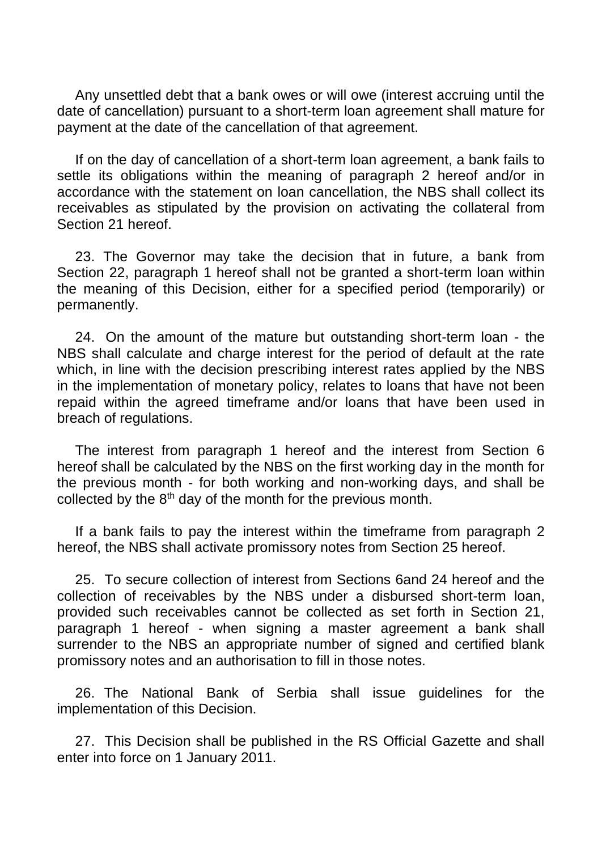Any unsettled debt that a bank owes or will owe (interest accruing until the date of cancellation) pursuant to a short-term loan agreement shall mature for payment at the date of the cancellation of that agreement.

If on the day of cancellation of a short-term loan agreement, a bank fails to settle its obligations within the meaning of paragraph 2 hereof and/or in accordance with the statement on loan cancellation, the NBS shall collect its receivables as stipulated by the provision on activating the collateral from Section 21 hereof.

23. The Governor may take the decision that in future, a bank from Section 22, paragraph 1 hereof shall not be granted a short-term loan within the meaning of this Decision, either for a specified period (temporarily) or permanently.

24. On the amount of the mature but outstanding short-term loan - the NBS shall calculate and charge interest for the period of default at the rate which, in line with the decision prescribing interest rates applied by the NBS in the implementation of monetary policy, relates to loans that have not been repaid within the agreed timeframe and/or loans that have been used in breach of regulations.

The interest from paragraph 1 hereof and the interest from Section 6 hereof shall be calculated by the NBS on the first working day in the month for the previous month - for both working and non-working days, and shall be collected by the  $8<sup>th</sup>$  day of the month for the previous month.

If a bank fails to pay the interest within the timeframe from paragraph 2 hereof, the NBS shall activate promissory notes from Section 25 hereof.

25. To secure collection of interest from Sections 6and 24 hereof and the collection of receivables by the NBS under a disbursed short-term loan, provided such receivables cannot be collected as set forth in Section 21, paragraph 1 hereof - when signing a master agreement a bank shall surrender to the NBS an appropriate number of signed and certified blank promissory notes and an authorisation to fill in those notes.

26. The National Bank of Serbia shall issue guidelines for the implementation of this Decision.

27. This Decision shall be published in the RS Official Gazette and shall enter into force on 1 January 2011.